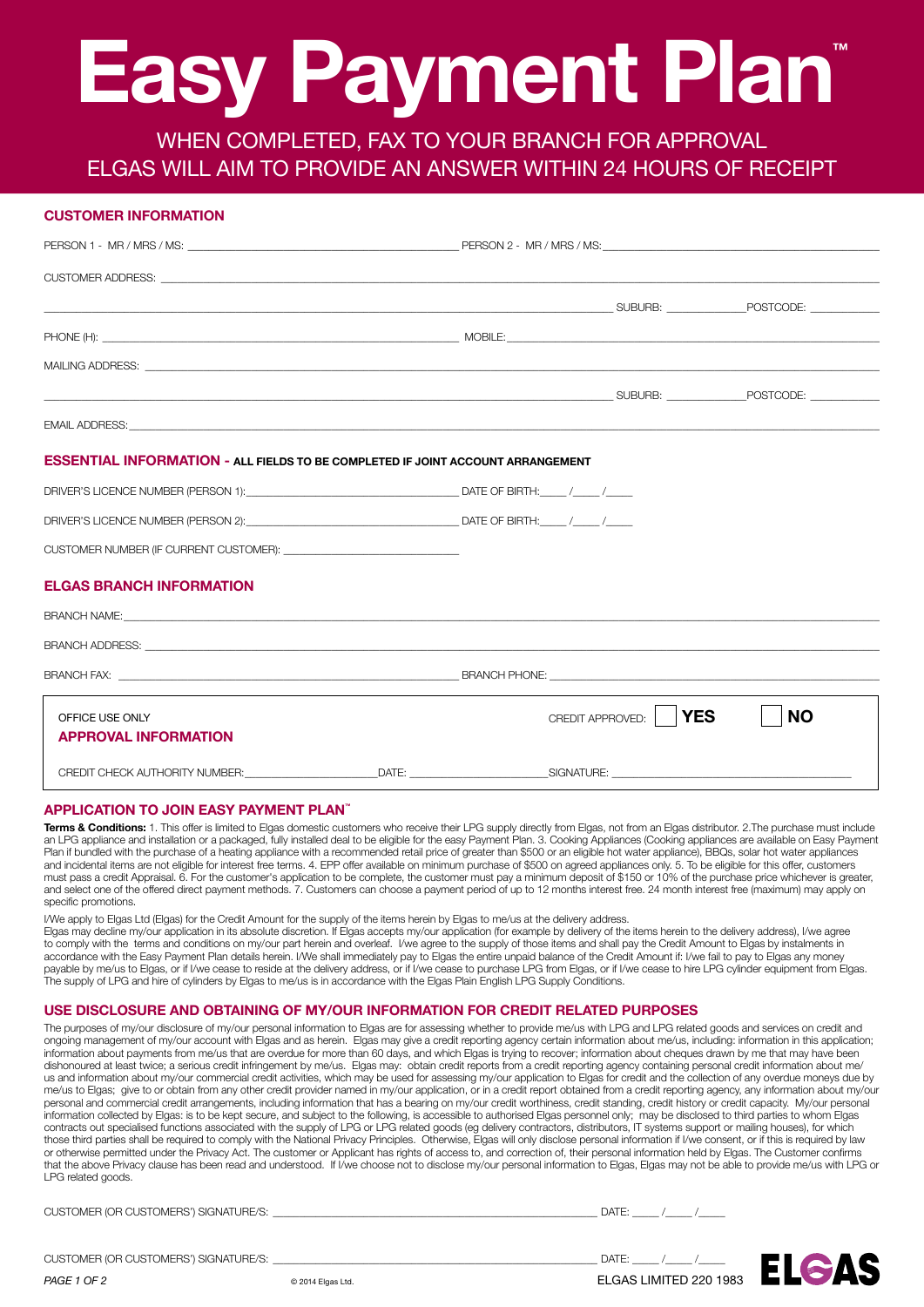# **Easy Payment Plan™**

WHEN COMPLETED, FAX TO YOUR BRANCH FOR APPROVAL Elgas WILL aim to provide an answer within 24 hours of receipt

#### **Customer Information**

| the control of the control of the control of the control of the control of the control of the control of the c |                  |            |           |
|----------------------------------------------------------------------------------------------------------------|------------------|------------|-----------|
|                                                                                                                |                  |            |           |
|                                                                                                                |                  |            |           |
| <b>SUBURB:</b> SUBURB: POSTCODE:                                                                               |                  |            |           |
|                                                                                                                |                  |            |           |
|                                                                                                                |                  |            |           |
| <b>ESSENTIAL INFORMATION - ALL FIELDS TO BE COMPLETED IF JOINT ACCOUNT ARRANGEMENT</b>                         |                  |            |           |
|                                                                                                                |                  |            |           |
|                                                                                                                |                  |            |           |
|                                                                                                                |                  |            |           |
| <b>ELGAS BRANCH INFORMATION</b>                                                                                |                  |            |           |
|                                                                                                                |                  |            |           |
|                                                                                                                |                  |            |           |
|                                                                                                                |                  |            |           |
| OFFICE USE ONLY<br><b>APPROVAL INFORMATION</b>                                                                 | CREDIT APPROVED: | <b>YES</b> | <b>NO</b> |
|                                                                                                                |                  |            |           |

#### **APPLICATION TO JOIN EASY PAYMENT PLAN™**

CUSTOMER (OR CUSTOMERS') SIGNATURE/S:

*PAGE 1 OF 2*

**Terms & Conditions:** 1. This offer is limited to Elgas domestic customers who receive their LPG supply directly from Elgas, not from an Elgas distributor. 2.The purchase must include an LPG appliance and installation or a packaged, fully installed deal to be eligible for the easy Payment Plan. 3. Cooking Appliances (Cooking appliances are available on Easy Payment Plan if bundled with the purchase of a heating appliance with a recommended retail price of greater than \$500 or an eligible hot water appliance), BBQs, solar hot water appliances and incidental items are not eligible for interest free terms. 4. EPP offer available on minimum purchase of \$500 on agreed appliances only. 5. To be eligible for this offer, customers must pass a credit Appraisal. 6. For the customer's application to be complete, the customer must pay a minimum deposit of \$150 or 10% of the purchase price whichever is greater, and select one of the offered direct payment methods. 7. Customers can choose a payment period of up to 12 months interest free. 24 month interest free (maximum) may apply on specific promotions.

I/We apply to Elgas Ltd (Elgas) for the Credit Amount for the supply of the items herein by Elgas to me/us at the delivery address. Elgas may decline my/our application in its absolute discretion. If Elgas accepts my/our application (for example by delivery of the items herein to the delivery address), I/we agree to comply with the terms and conditions on my/our part herein and overleaf. I/we agree to the supply of those items and shall pay the Credit Amount to Elgas by instalments in accordance with the Easy Payment Plan details herein. I/We shall immediately pay to Elgas the entire unpaid balance of the Credit Amount if: I/we fail to pay to Elgas any money payable by me/us to Elgas, or if I/we cease to reside at the delivery address, or if I/we cease to purchase LPG from Elgas, or if I/we cease to hire LPG cylinder equipment from Elgas. The supply of LPG and hire of cylinders by Elgas to me/us is in accordance with the Elgas Plain English LPG Supply Conditions.

#### **USE DISCLOSURE AND OBTAINING OF MY/OUR INFORMATION FOR CREDIT RELATED PURPOSES**

The purposes of my/our disclosure of my/our personal information to Elgas are for assessing whether to provide me/us with LPG and LPG related goods and services on credit and ongoing management of my/our account with Elgas and as herein. Elgas may give a credit reporting agency certain information about me/us, including: information in this application; information about payments from me/us that are overdue for more than 60 days, and which Elgas is trying to recover; information about cheques drawn by me that may have been dishonoured at least twice; a serious credit infringement by me/us. Elgas may: obtain credit reports from a credit reporting agency containing personal credit information about me/ us and information about my/our commercial credit activities, which may be used for assessing my/our application to Elgas for credit and the collection of any overdue moneys due by me/us to Elgas; give to or obtain from any other credit provider named in my/our application, or in a credit report obtained from a credit reporting agency, any information about my/our personal and commercial credit arrangements, including information that has a bearing on my/our credit worthiness, credit standing, credit history or credit capacity. My/our personal information collected by Elgas: is to be kept secure, and subject to the following, is accessible to authorised Elgas personnel only; may be disclosed to third parties to whom Elgas contracts out specialised functions associated with the supply of LPG or LPG related goods (eg delivery contractors, distributors, IT systems support or mailing houses), for which those third parties shall be required to comply with the National Privacy Principles. Otherwise, Elgas will only disclose personal information if I/we consent, or if this is required by law or otherwise permitted under the Privacy Act. The customer or Applicant has rights of access to, and correction of, their personal information held by Elgas. The Customer confirms that the above Privacy clause has been read and understood. If I/we choose not to disclose my/our personal information to Elgas, Elgas may not be able to provide me/us with LPG or LPG related goods.

| CUSTOMER (OR CUSTOMERS') SIGNATURE/S: | DATE: |
|---------------------------------------|-------|
|                                       |       |
|                                       |       |

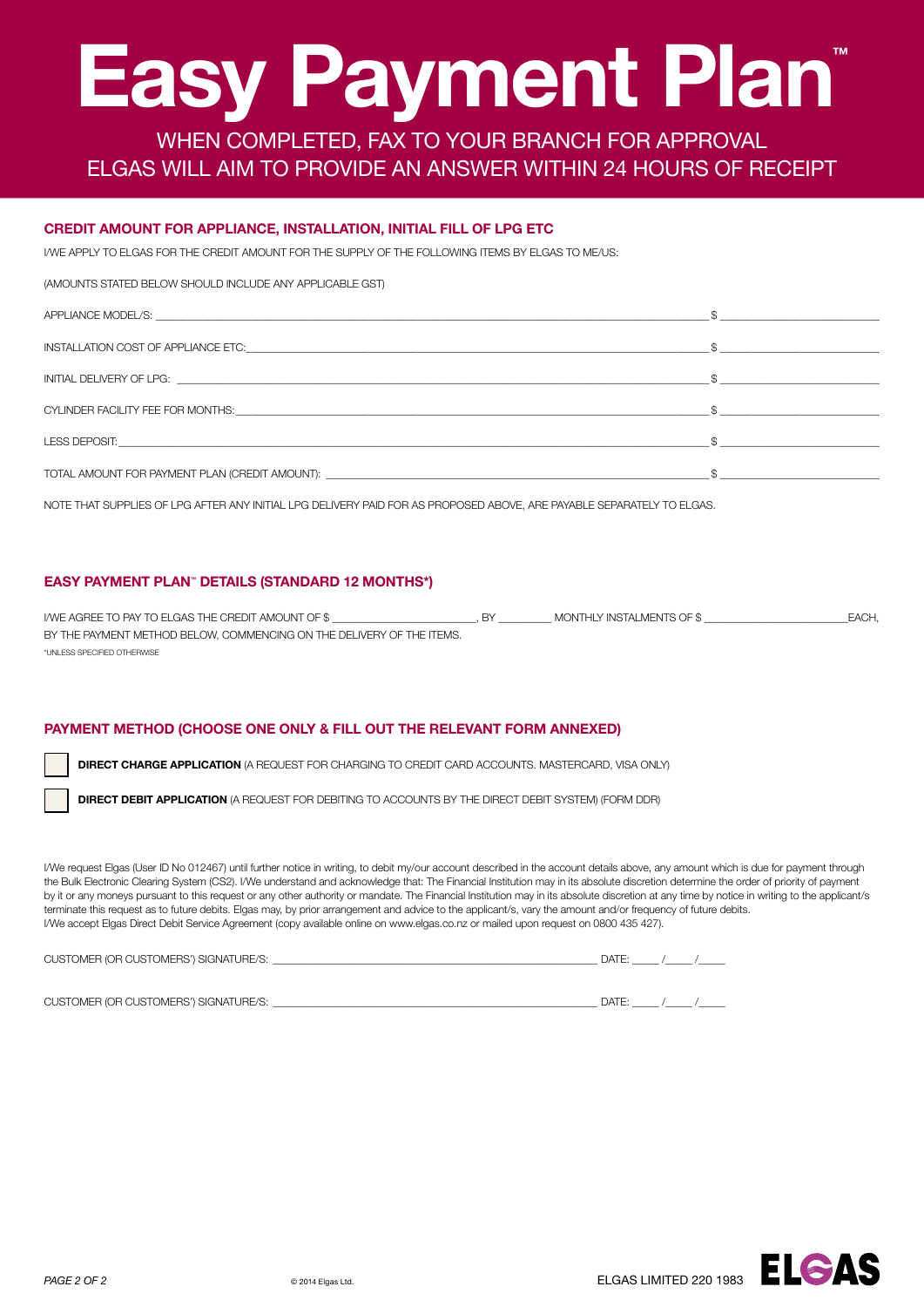# **Easy Payment Plan™**

WHEN COMPLETED, FAX TO YOUR BRANCH FOR APPROVAL Elgas WILL aim to provide an answer within 24 hours of receipt

#### **CREDIT AMOUNT FOR APPLIANCE, INSTALLATION, INITIAL FILL OF LPG ETC**

I/We apply to Elgas for the Credit Amount for the supply of the following items by Elgas to me/us:

#### (Amounts stated below should include any applicable GST)

| INSTALLATION COST OF APPLIANCE ETC: THE STATE OF STATE OF STATE OF STATE OF STATE OF STATE OF STATE OF STATE O |  |
|----------------------------------------------------------------------------------------------------------------|--|
|                                                                                                                |  |
|                                                                                                                |  |
|                                                                                                                |  |
| TOTAL AMOUNT FOR PAYMENT PLAN (CREDIT AMOUNT): __________________________________                              |  |

Note that supplies of LPG after any initial LPG delivery paid for as proposed above, are payable separately to Elgas.

#### **EASY PAYMENT PLAN™ DETAILS (STANDARD 12 months\*)**

I/we agree to pay to Elgas the Credit Amount of \$ \_\_\_\_\_\_\_\_\_\_\_\_\_\_\_\_\_\_\_\_\_\_\_\_\_\_\_, BY \_\_\_\_\_\_\_\_\_\_ monthly instalments of \$ \_\_\_\_\_\_\_\_\_\_\_\_\_\_\_\_\_\_\_\_\_\_\_\_\_\_\_each, by the payment method below, commencing on the delivery of the Items. \*unless specified otherwise

#### **PAYMENT METHOD (CHOOSE ONE ONLY & FILL OUT THE RELEVANT FORM ANNEXED)**

**DIRECT CHARGE APPLICATION** (A REQUEST FOR CHARGING TO CREDIT CARD ACCOUNTS. MASTERCARD, VISA ONLY)

**DIRECT DEBIT APPLICATION** (A REQUEST FOR DEBITING TO ACCOUNTS BY THE DIRECT DEBIT SYSTEM) (FORM DDR)

I/We request Elgas (User ID No 012467) until further notice in writing, to debit my/our account described in the account details above, any amount which is due for payment through the Bulk Electronic Clearing System (CS2). I/We understand and acknowledge that: The Financial Institution may in its absolute discretion determine the order of priority of payment by it or any moneys pursuant to this request or any other authority or mandate. The Financial Institution may in its absolute discretion at any time by notice in writing to the applicant/s terminate this request as to future debits. Elgas may, by prior arrangement and advice to the applicant/s, vary the amount and/or frequency of future debits. I/We accept Elgas Direct Debit Service Agreement (copy available online on www.elgas.co.nz or mailed upon request on 0800 435 427).

| CUSTOMER (OR CUSTOMERS') SIGNATURE/S: | <b>DATE</b> |  |  |
|---------------------------------------|-------------|--|--|
|                                       |             |  |  |

Customer (or Customers') signature/s: \_\_\_\_\_\_\_\_\_\_\_\_\_\_\_\_\_\_\_\_\_\_\_\_\_\_\_\_\_\_\_\_\_\_\_\_\_\_\_\_\_\_\_\_\_\_\_\_\_\_\_\_\_\_\_\_\_\_\_\_\_ Date: \_\_\_\_\_ /\_\_\_\_\_ /\_\_\_\_\_

**PAGE 2 OF 2** © 2014 Elgas Ltd.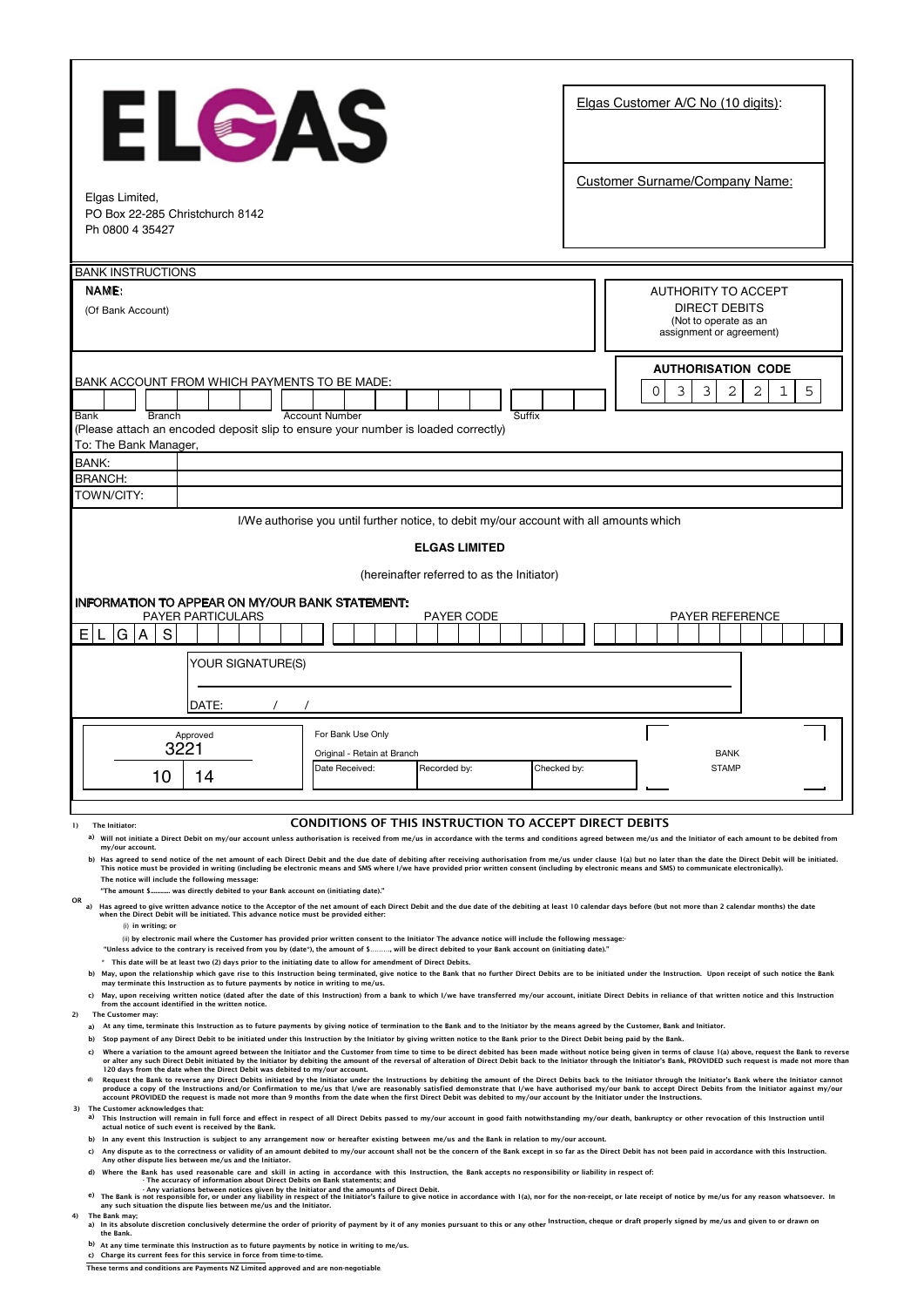| ELCAS<br>Elgas Limited,<br>PO Box 22-285 Christchurch 8142<br>Ph 0800 4 35427                                                                                                                                                                                                                                                                                                                                                                                                                                                                                                                                                                                                                                                                                                                                                                                                                                                                                                                                                                                                                                                                                                                                                                                                                                                                                                                                                                                                                                                                                                                                                                                                                                                                                                                                                                                     | Elgas Customer A/C No (10 digits):<br><b>Customer Surname/Company Name:</b> |
|-------------------------------------------------------------------------------------------------------------------------------------------------------------------------------------------------------------------------------------------------------------------------------------------------------------------------------------------------------------------------------------------------------------------------------------------------------------------------------------------------------------------------------------------------------------------------------------------------------------------------------------------------------------------------------------------------------------------------------------------------------------------------------------------------------------------------------------------------------------------------------------------------------------------------------------------------------------------------------------------------------------------------------------------------------------------------------------------------------------------------------------------------------------------------------------------------------------------------------------------------------------------------------------------------------------------------------------------------------------------------------------------------------------------------------------------------------------------------------------------------------------------------------------------------------------------------------------------------------------------------------------------------------------------------------------------------------------------------------------------------------------------------------------------------------------------------------------------------------------------|-----------------------------------------------------------------------------|
| <b>BANK INSTRUCTIONS</b><br>NAME:                                                                                                                                                                                                                                                                                                                                                                                                                                                                                                                                                                                                                                                                                                                                                                                                                                                                                                                                                                                                                                                                                                                                                                                                                                                                                                                                                                                                                                                                                                                                                                                                                                                                                                                                                                                                                                 | AUTHORITY TO ACCEPT                                                         |
| (Of Bank Account)                                                                                                                                                                                                                                                                                                                                                                                                                                                                                                                                                                                                                                                                                                                                                                                                                                                                                                                                                                                                                                                                                                                                                                                                                                                                                                                                                                                                                                                                                                                                                                                                                                                                                                                                                                                                                                                 | <b>DIRECT DEBITS</b><br>(Not to operate as an<br>assignment or agreement)   |
| BANK ACCOUNT FROM WHICH PAYMENTS TO BE MADE:                                                                                                                                                                                                                                                                                                                                                                                                                                                                                                                                                                                                                                                                                                                                                                                                                                                                                                                                                                                                                                                                                                                                                                                                                                                                                                                                                                                                                                                                                                                                                                                                                                                                                                                                                                                                                      | <b>AUTHORISATION CODE</b>                                                   |
| <b>Branch</b><br>Bank<br><b>Account Number</b><br>Suffix                                                                                                                                                                                                                                                                                                                                                                                                                                                                                                                                                                                                                                                                                                                                                                                                                                                                                                                                                                                                                                                                                                                                                                                                                                                                                                                                                                                                                                                                                                                                                                                                                                                                                                                                                                                                          | 3<br>$\Omega$<br>3<br>2<br>2<br>5<br>1                                      |
| (Please attach an encoded deposit slip to ensure your number is loaded correctly)<br>To: The Bank Manager.                                                                                                                                                                                                                                                                                                                                                                                                                                                                                                                                                                                                                                                                                                                                                                                                                                                                                                                                                                                                                                                                                                                                                                                                                                                                                                                                                                                                                                                                                                                                                                                                                                                                                                                                                        |                                                                             |
| BANK:                                                                                                                                                                                                                                                                                                                                                                                                                                                                                                                                                                                                                                                                                                                                                                                                                                                                                                                                                                                                                                                                                                                                                                                                                                                                                                                                                                                                                                                                                                                                                                                                                                                                                                                                                                                                                                                             |                                                                             |
| <b>BRANCH:</b><br>TOWN/CITY:                                                                                                                                                                                                                                                                                                                                                                                                                                                                                                                                                                                                                                                                                                                                                                                                                                                                                                                                                                                                                                                                                                                                                                                                                                                                                                                                                                                                                                                                                                                                                                                                                                                                                                                                                                                                                                      |                                                                             |
| I/We authorise you until further notice, to debit my/our account with all amounts which                                                                                                                                                                                                                                                                                                                                                                                                                                                                                                                                                                                                                                                                                                                                                                                                                                                                                                                                                                                                                                                                                                                                                                                                                                                                                                                                                                                                                                                                                                                                                                                                                                                                                                                                                                           |                                                                             |
| <b>ELGAS LIMITED</b>                                                                                                                                                                                                                                                                                                                                                                                                                                                                                                                                                                                                                                                                                                                                                                                                                                                                                                                                                                                                                                                                                                                                                                                                                                                                                                                                                                                                                                                                                                                                                                                                                                                                                                                                                                                                                                              |                                                                             |
| (hereinafter referred to as the Initiator)                                                                                                                                                                                                                                                                                                                                                                                                                                                                                                                                                                                                                                                                                                                                                                                                                                                                                                                                                                                                                                                                                                                                                                                                                                                                                                                                                                                                                                                                                                                                                                                                                                                                                                                                                                                                                        |                                                                             |
| INFORMATION TO APPEAR ON MY/OUR BANK STATEMENT:<br><b>PAYER PARTICULARS</b><br><b>PAYER CODE</b><br>G<br>S<br>A<br>ΕI<br>YOUR SIGNATURE(S)<br>DATE:                                                                                                                                                                                                                                                                                                                                                                                                                                                                                                                                                                                                                                                                                                                                                                                                                                                                                                                                                                                                                                                                                                                                                                                                                                                                                                                                                                                                                                                                                                                                                                                                                                                                                                               | <b>PAYER REFERENCE</b>                                                      |
| For Bank Use Only<br>Approved<br>3221<br>Original - Retain at Branch                                                                                                                                                                                                                                                                                                                                                                                                                                                                                                                                                                                                                                                                                                                                                                                                                                                                                                                                                                                                                                                                                                                                                                                                                                                                                                                                                                                                                                                                                                                                                                                                                                                                                                                                                                                              | <b>BANK</b>                                                                 |
| Date Received:<br>Recorded by:<br>Checked by:<br>14<br>10                                                                                                                                                                                                                                                                                                                                                                                                                                                                                                                                                                                                                                                                                                                                                                                                                                                                                                                                                                                                                                                                                                                                                                                                                                                                                                                                                                                                                                                                                                                                                                                                                                                                                                                                                                                                         | <b>STAMF</b>                                                                |
| CONDITIONS OF THIS INSTRUCTION TO ACCEPT DIRECT DEBITS<br>$_{1)}$<br>The Initiator:<br>a) Will not initiate a Direct Debit on my/our account unless authorisation is received from me/us in accordance with the terms and conditions agreed between me/us and the Initiator of each amount to be debited from<br>my/our account.<br>Has agreed to send notice of the net amount of each Direct Debit and the due date of debiting after receiving authorisation from me/us under clause 1(a) but no later than the date the Direct Debit will be initiated.<br>b)<br>This notice must be provided in writing (including be electronic means and SMS where I/we have provided prior written consent (including by electronic means and SMS) to communicate electronically).<br>The notice will include the following message:<br>"The amount \$ was directly debited to your Bank account on (initiating date)."                                                                                                                                                                                                                                                                                                                                                                                                                                                                                                                                                                                                                                                                                                                                                                                                                                                                                                                                                   |                                                                             |
| OR<br>Has agreed to give written advance notice to the Acceptor of the net amount of each Direct Debit and the due date of the debiting at least 10 calendar days before (but not more than 2 calendar months) the date<br>$\mathbf{a}$<br>when the Direct Debit will be initiated. This advance notice must be provided either:<br>(i) in writing; or<br>(ii) by electronic mail where the Customer has provided prior written consent to the Initiator The advance notice will include the following message:-<br>"Unless advice to the contrary is received from you by (date*), the amount of \$, will be direct debited to your Bank account on (initiating date)."<br>This date will be at least two (2) days prior to the initiating date to allow for amendment of Direct Debits.<br>b) May, upon the relationship which qave rise to this Instruction being terminated, give notice to the Bank that no further Direct Debits are to be initiated under the Instruction. Upon receipt of such notice the Bank<br>may terminate this Instruction as to future payments by notice in writing to me/us.<br>May, upon receiving written notice (dated after the date of this Instruction) from a bank to which I/we have transferred my/our account, initiate Direct Debits in reliance of that written notice and this Instruction<br>from the account identified in the written notice.<br>2)<br>The Customer may:<br>At any time, terminate this Instruction as to future payments by giving notice of termination to the Bank and to the Initiator by the means agreed by the Customer, Bank and Initiator.<br>a)                                                                                                                                                                                                                                        |                                                                             |
| Stop payment of any Direct Debit to be initiated under this Instruction by the Initiator by giving written notice to the Bank prior to the Direct Debit being paid by the Bank.<br>b)<br>Where a variation to the amount agreed between the Initiator and the Customer from time to time to be direct debited has been made without notice being given in terms of clause 1(a) above, request the Bank to reverse<br>c)<br>or alter any such Direct Debit initiated by the Initiator by debiting the amount of the reversal of alteration of Direct Debit back to the Initiator through the Initiator's Bank, PROVIDED such request is made not more thar<br>120 days from the date when the Direct Debit was debited to my/our account.<br>Request the Bank to reverse any Direct Debits initiated by the Initiator under the Instructions by debiting the amount of the Direct Debits back to the Initiator through the Initiator's Bank where the Initiator cannot<br>d)<br>produce a copy of the Instructions and/or Confirmation to me/us that I/we are reasonably satisfied demonstrate that I/we have authorised my/our bank to accept Direct Debits from the Initiator against my/our<br>account PROVIDED the request is made not more than 9 months from the date when the first Direct Debit was debited to my/our account by the Initiator under the Instructions.<br>3) The Customer acknowledges that:<br>a)<br>This Instruction will remain in full force and effect in respect of all Direct Debits passed to my/our account in good faith notwithstanding my/our death, bankruptcy or other revocation of this Instruction until<br>actual notice of such event is received by the Bank.<br>In any event this Instruction is subject to any arrangement now or hereafter existing between me/us and the Bank in relation to my/our account.<br>b) |                                                                             |
| Any dispute as to the correctness or validity of an amount debited to my/our account shall not be the concern of the Bank except in so far as the Direct Debit has not been paid in accordance with this Instruction.<br>c)<br>Any other dispute lies between me/us and the Initiator.<br>Where the Bank has used reasonable care and skill in acting in accordance with this Instruction, the Bank accepts no responsibility or liability in respect of:<br>d)<br>- The accuracy of information about Direct Debits on Bank statements; and<br>- Any variations between notices given by the Initiator and the amounts of Direct Debit.<br>e) The Bank is not responsible for, or under any liability in respect of the Initiator's failure to give notice in accordance with 1(a), nor for the non-receipt, or late receipt of notice by me/us for any reason whatsoever<br>any such situation the dispute lies between me/us and the Initiator.<br>The Bank mav:<br>4)<br>a) In its absolute discretion conclusively determine the order of priority of payment by it of any monies pursuant to this or any other <sup>Instruction,</sup> cheque or draft properly signed by me/us and given to or drawn on<br>the Bank.<br>b) At any time terminate this Instruction as to future payments by notice in writing to me/us.<br>c) Charge its current fees for this service in force from time-to-time.                                                                                                                                                                                                                                                                                                                                                                                                                                                          |                                                                             |

Г

**These terms and conditions are Payments NZ Limited approved and are non-negotiable.**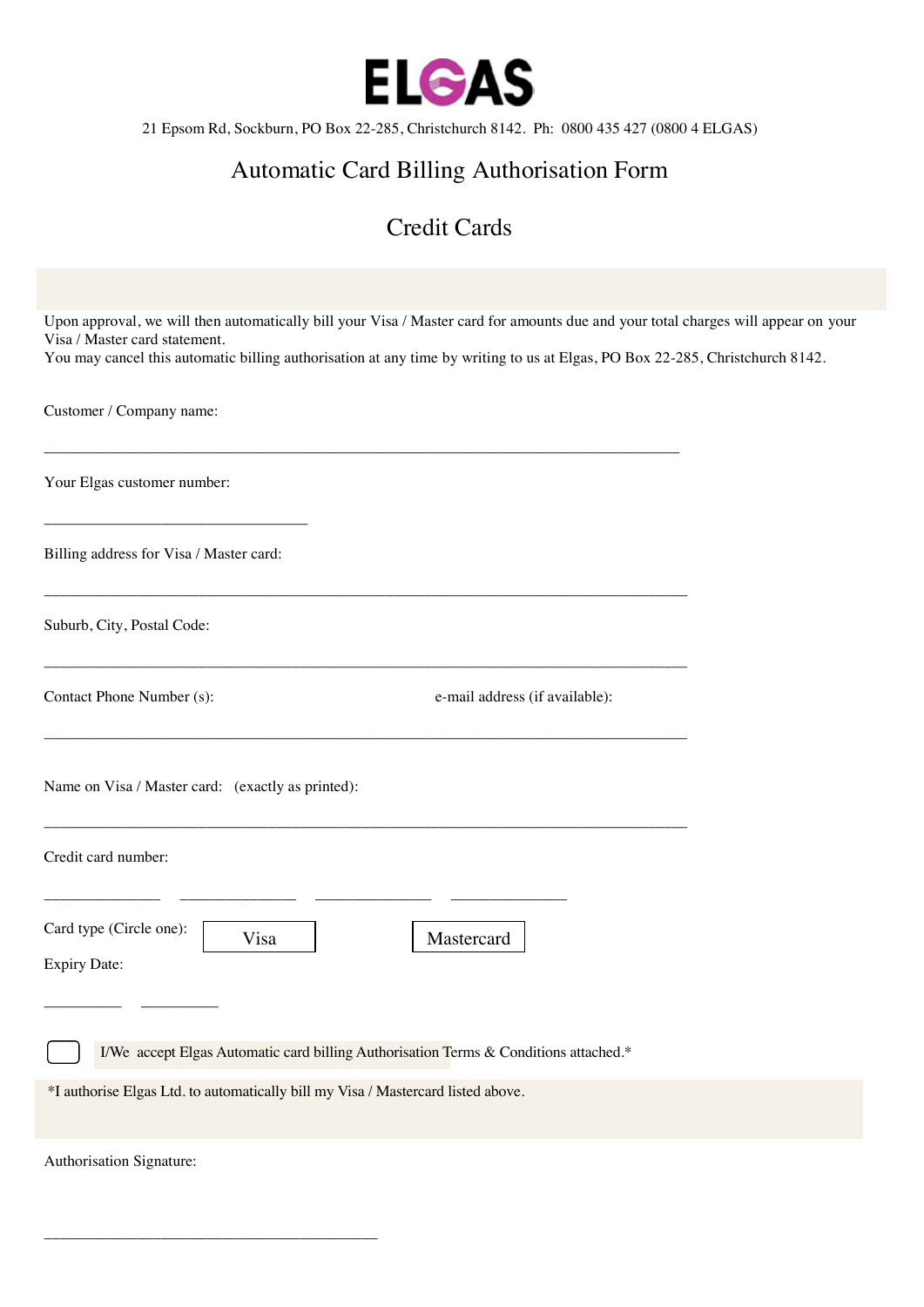

21 Epsom Rd, Sockburn, PO Box 22-285, Christchurch 8142. Ph: 0800 435 427 (0800 4 ELGAS)

## Automatic Card Billing Authorisation Form

### Credit Cards

| Upon approval, we will then automatically bill your Visa / Master card for amounts due and your total charges will appear on your                             |  |
|---------------------------------------------------------------------------------------------------------------------------------------------------------------|--|
| Visa / Master card statement.<br>You may cancel this automatic billing authorisation at any time by writing to us at Elgas, PO Box 22-285, Christchurch 8142. |  |
|                                                                                                                                                               |  |
| Customer / Company name:                                                                                                                                      |  |
|                                                                                                                                                               |  |
| Your Elgas customer number:                                                                                                                                   |  |
|                                                                                                                                                               |  |
| Billing address for Visa / Master card:                                                                                                                       |  |
|                                                                                                                                                               |  |
| Suburb, City, Postal Code:                                                                                                                                    |  |
|                                                                                                                                                               |  |
| Contact Phone Number (s):<br>e-mail address (if available):                                                                                                   |  |
|                                                                                                                                                               |  |
|                                                                                                                                                               |  |
| Name on Visa / Master card: (exactly as printed):                                                                                                             |  |
|                                                                                                                                                               |  |
| Credit card number:                                                                                                                                           |  |
|                                                                                                                                                               |  |
| Card type (Circle one):<br>Visa<br>Mastercard                                                                                                                 |  |
| <b>Expiry Date:</b>                                                                                                                                           |  |
|                                                                                                                                                               |  |
| I/We accept Elgas Automatic card billing Authorisation Terms & Conditions attached.*                                                                          |  |
| *I authorise Elgas Ltd. to automatically bill my Visa / Mastercard listed above.                                                                              |  |
|                                                                                                                                                               |  |
| Authorisation Signature:                                                                                                                                      |  |

\_\_\_\_\_\_\_\_\_\_\_\_\_\_\_\_\_\_\_\_\_\_\_\_\_\_\_\_\_\_\_\_\_\_\_\_\_\_\_\_\_\_\_